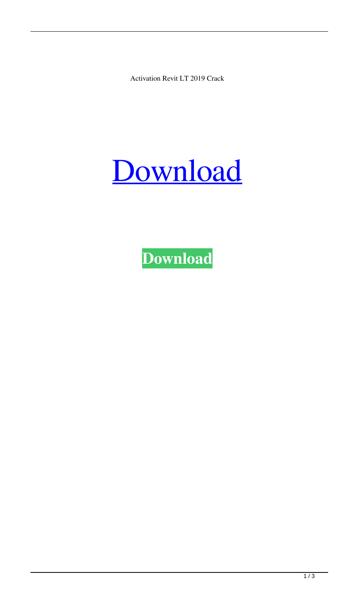Activation Revit LT 2019 Crack

## [Download](http://evacdir.com/YWN0aXZhdGlvbiBSZXZpdCBMVCAyMDE5IGNyYWNrYWN/bets.counted?councilors=disbelieves&&ZG93bmxvYWR8aTZzTVhReGEzeDhNVFkxTWpRMk16QTFNSHg4TWpVM05IeDhLRTBwSUhKbFlXUXRZbXh2WnlCYlJtRnpkQ0JIUlU1ZA=sukarma)

**[Download](http://evacdir.com/YWN0aXZhdGlvbiBSZXZpdCBMVCAyMDE5IGNyYWNrYWN/bets.counted?councilors=disbelieves&&ZG93bmxvYWR8aTZzTVhReGEzeDhNVFkxTWpRMk16QTFNSHg4TWpVM05IeDhLRTBwSUhKbFlXUXRZbXh2WnlCYlJtRnpkQ0JIUlU1ZA=sukarma)**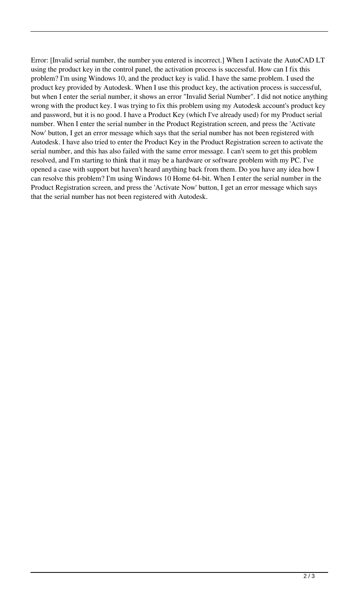Error: [Invalid serial number, the number you entered is incorrect.] When I activate the AutoCAD LT using the product key in the control panel, the activation process is successful. How can I fix this problem? I'm using Windows 10, and the product key is valid. I have the same problem. I used the product key provided by Autodesk. When I use this product key, the activation process is successful, but when I enter the serial number, it shows an error "Invalid Serial Number". I did not notice anything wrong with the product key. I was trying to fix this problem using my Autodesk account's product key and password, but it is no good. I have a Product Key (which I've already used) for my Product serial number. When I enter the serial number in the Product Registration screen, and press the 'Activate Now' button, I get an error message which says that the serial number has not been registered with Autodesk. I have also tried to enter the Product Key in the Product Registration screen to activate the serial number, and this has also failed with the same error message. I can't seem to get this problem resolved, and I'm starting to think that it may be a hardware or software problem with my PC. I've opened a case with support but haven't heard anything back from them. Do you have any idea how I can resolve this problem? I'm using Windows 10 Home 64-bit. When I enter the serial number in the Product Registration screen, and press the 'Activate Now' button, I get an error message which says that the serial number has not been registered with Autodesk.